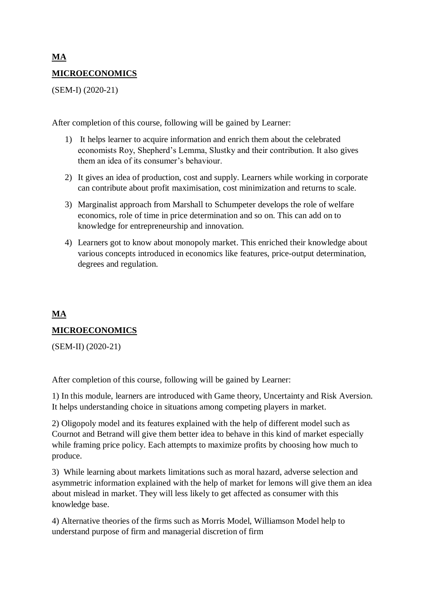# **MA MICROECONOMICS**

(SEM-I) (2020-21)

After completion of this course, following will be gained by Learner:

- 1) It helps learner to acquire information and enrich them about the celebrated economists Roy, Shepherd's Lemma, Slustky and their contribution. It also gives them an idea of its consumer's behaviour.
- 2) It gives an idea of production, cost and supply. Learners while working in corporate can contribute about profit maximisation, cost minimization and returns to scale.
- 3) Marginalist approach from Marshall to Schumpeter develops the role of welfare economics, role of time in price determination and so on. This can add on to knowledge for entrepreneurship and innovation.
- 4) Learners got to know about monopoly market. This enriched their knowledge about various concepts introduced in economics like features, price-output determination, degrees and regulation.

# **MA**

## **MICROECONOMICS**

(SEM-II) (2020-21)

After completion of this course, following will be gained by Learner:

1) In this module, learners are introduced with Game theory, Uncertainty and Risk Aversion. It helps understanding choice in situations among competing players in market.

2) Oligopoly model and its features explained with the help of different model such as Cournot and Betrand will give them better idea to behave in this kind of market especially while framing price policy. Each attempts to maximize profits by choosing how much to produce.

3) While learning about markets limitations such as moral hazard, adverse selection and asymmetric information explained with the help of market for lemons will give them an idea about mislead in market. They will less likely to get affected as consumer with this knowledge base.

4) Alternative theories of the firms such as Morris Model, Williamson Model help to understand purpose of firm and managerial discretion of firm